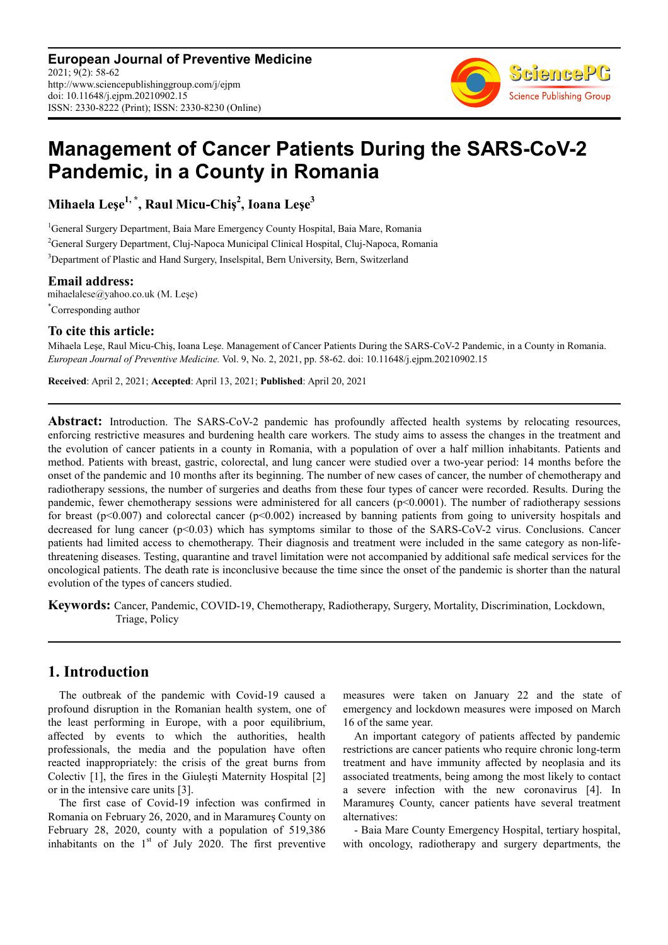**European Journal of Preventive Medicine** 2021; 9(2): 58-62 http://www.sciencepublishinggroup.com/j/ejpm doi: 10.11648/j.ejpm.20210902.15 ISSN: 2330-8222 (Print); ISSN: 2330-8230 (Online)



# **Management of Cancer Patients During the SARS-CoV-2 Pandemic, in a County in Romania**

**Mihaela Leşe1, \*, Raul Micu-Chiş<sup>2</sup> , Ioana Leşe<sup>3</sup>**

<sup>1</sup>General Surgery Department, Baia Mare Emergency County Hospital, Baia Mare, Romania <sup>2</sup>General Surgery Department, Cluj-Napoca Municipal Clinical Hospital, Cluj-Napoca, Romania <sup>3</sup>Department of Plastic and Hand Surgery, Inselspital, Bern University, Bern, Switzerland

**Email address:**<br>mihaelalese@yahoo.co.uk (M. Leşe) \*Corresponding author

#### **To cite this article:**

Mihaela Leşe, Raul Micu-Chiş, Ioana Leşe. Management of Cancer Patients During the SARS-CoV-2 Pandemic, in a County in Romania. *European Journal of Preventive Medicine.* Vol. 9, No. 2, 2021, pp. 58-62. doi: 10.11648/j.ejpm.20210902.15

**Received**: April 2, 2021; **Accepted**: April 13, 2021; **Published**: April 20, 2021

Abstract: Introduction. The SARS-CoV-2 pandemic has profoundly affected health systems by relocating resources, enforcing restrictive measures and burdening health care workers. The study aims to assess the changes in the treatment and the evolution of cancer patients in a county in Romania, with a population of over a half million inhabitants. Patients and method. Patients with breast, gastric, colorectal, and lung cancer were studied over a two-year period: 14 months before the onset of the pandemic and 10 months after its beginning. The number of new cases of cancer, the number of chemotherapy and radiotherapy sessions, the number of surgeries and deaths from these four types of cancer were recorded. Results. During the pandemic, fewer chemotherapy sessions were administered for all cancers ( $p<0.0001$ ). The number of radiotherapy sessions for breast (p<0.007) and colorectal cancer (p<0.002) increased by banning patients from going to university hospitals and decreased for lung cancer (p<0.03) which has symptoms similar to those of the SARS-CoV-2 virus. Conclusions. Cancer patients had limited access to chemotherapy. Their diagnosis and treatment were included in the same category as non-lifethreatening diseases. Testing, quarantine and travel limitation were not accompanied by additional safe medical services for the oncological patients. The death rate is inconclusive because the time since the onset of the pandemic is shorter than the natural evolution of the types of cancers studied.

**Keywords:** Cancer, Pandemic, COVID-19, Chemotherapy, Radiotherapy, Surgery, Mortality, Discrimination, Lockdown, Triage, Policy

# **1. Introduction**

The outbreak of the pandemic with Covid-19 caused a profound disruption in the Romanian health system, one of the least performing in Europe, with a poor equilibrium, affected by events to which the authorities, health professionals, the media and the population have often reacted inappropriately: the crisis of the great burns from Colectiv [1], the fires in the Giuleşti Maternity Hospital [2] or in the intensive care units [3].

The first case of Covid-19 infection was confirmed in Romania on February 26, 2020, and in Maramureş County on February 28, 2020, county with a population of 519,386 inhabitants on the  $1<sup>st</sup>$  of July 2020. The first preventive measures were taken on January 22 and the state of emergency and lockdown measures were imposed on March 16 of the same year.

An important category of patients affected by pandemic restrictions are cancer patients who require chronic long-term treatment and have immunity affected by neoplasia and its associated treatments, being among the most likely to contact a severe infection with the new coronavirus [4]. In Maramureş County, cancer patients have several treatment alternatives:

- Baia Mare County Emergency Hospital, tertiary hospital, with oncology, radiotherapy and surgery departments, the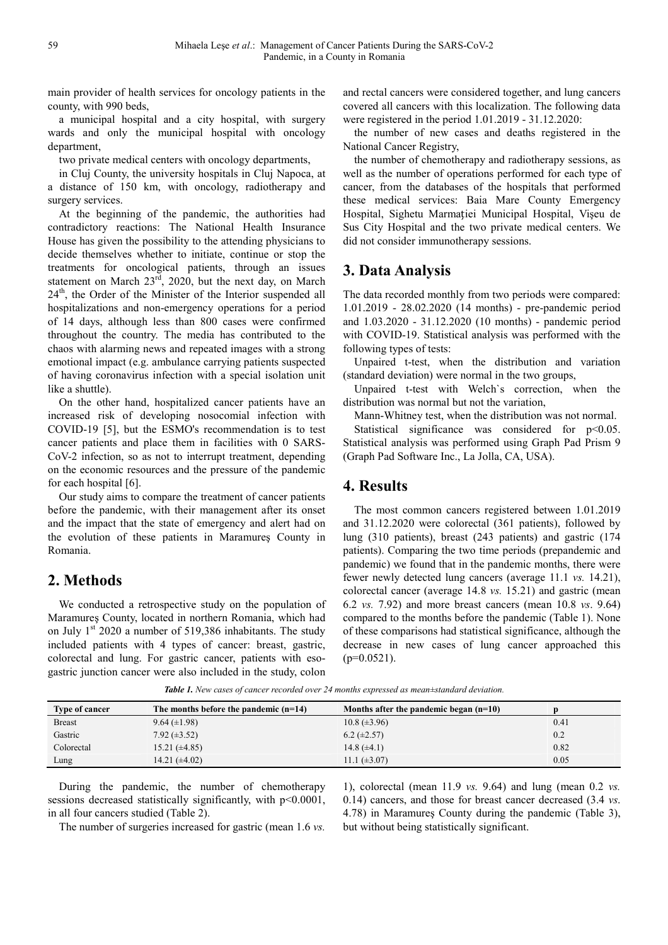main provider of health services for oncology patients in the county, with 990 beds,

a municipal hospital and a city hospital, with surgery wards and only the municipal hospital with oncology department,

two private medical centers with oncology departments,

in Cluj County, the university hospitals in Cluj Napoca, at a distance of 150 km, with oncology, radiotherapy and surgery services.

At the beginning of the pandemic, the authorities had contradictory reactions: The National Health Insurance House has given the possibility to the attending physicians to decide themselves whether to initiate, continue or stop the treatments for oncological patients, through an issues statement on March 23rd, 2020, but the next day, on March  $24<sup>th</sup>$ , the Order of the Minister of the Interior suspended all hospitalizations and non-emergency operations for a period of 14 days, although less than 800 cases were confirmed throughout the country. The media has contributed to the chaos with alarming news and repeated images with a strong emotional impact (e.g. ambulance carrying patients suspected of having coronavirus infection with a special isolation unit like a shuttle).

On the other hand, hospitalized cancer patients have an increased risk of developing nosocomial infection with COVID-19 [5], but the ESMO's recommendation is to test cancer patients and place them in facilities with 0 SARS-CoV-2 infection, so as not to interrupt treatment, depending on the economic resources and the pressure of the pandemic for each hospital [6].

Our study aims to compare the treatment of cancer patients before the pandemic, with their management after its onset and the impact that the state of emergency and alert had on the evolution of these patients in Maramureş County in Romania.

#### **2. Methods**

We conducted a retrospective study on the population of Maramureş County, located in northern Romania, which had on July  $1<sup>st</sup> 2020$  a number of 519,386 inhabitants. The study included patients with 4 types of cancer: breast, gastric, colorectal and lung. For gastric cancer, patients with esogastric junction cancer were also included in the study, colon

and rectal cancers were considered together, and lung cancers covered all cancers with this localization. The following data were registered in the period 1.01.2019 - 31.12.2020:

the number of new cases and deaths registered in the National Cancer Registry,

the number of chemotherapy and radiotherapy sessions, as well as the number of operations performed for each type of cancer, from the databases of the hospitals that performed these medical services: Baia Mare County Emergency Hospital, Sighetu Marmaţiei Municipal Hospital, Vişeu de Sus City Hospital and the two private medical centers. We did not consider immunotherapy sessions.

## **3. Data Analysis**

The data recorded monthly from two periods were compared: 1.01.2019 - 28.02.2020 (14 months) - pre-pandemic period and 1.03.2020 - 31.12.2020 (10 months) - pandemic period with COVID-19. Statistical analysis was performed with the following types of tests:

Unpaired t-test, when the distribution and variation (standard deviation) were normal in the two groups,

Unpaired t-test with Welch`s correction, when the distribution was normal but not the variation,

Mann-Whitney test, when the distribution was not normal.

Statistical significance was considered for  $p<0.05$ . Statistical analysis was performed using Graph Pad Prism 9 (Graph Pad Software Inc., La Jolla, CA, USA).

#### **4. Results**

The most common cancers registered between 1.01.2019 and 31.12.2020 were colorectal (361 patients), followed by lung (310 patients), breast (243 patients) and gastric (174 patients). Comparing the two time periods (prepandemic and pandemic) we found that in the pandemic months, there were fewer newly detected lung cancers (average 11.1 *vs.* 14.21), colorectal cancer (average 14.8 *vs.* 15.21) and gastric (mean 6.2 *vs.* 7.92) and more breast cancers (mean 10.8 *vs*. 9.64) compared to the months before the pandemic (Table 1). None of these comparisons had statistical significance, although the decrease in new cases of lung cancer approached this  $(p=0.0521)$ .

| <b>Type of cancer</b> | The months before the pandemic $(n=14)$ | Months after the pandemic began $(n=10)$ |      |
|-----------------------|-----------------------------------------|------------------------------------------|------|
| <b>Breast</b>         | $9.64 \ (\pm 1.98)$                     | $10.8 (\pm 3.96)$                        | 0.41 |
| Gastric               | $7.92 \ (\pm 3.52)$                     | $6.2 \ (\pm 2.57)$                       | 0.2  |
| Colorectal            | $15.21 (\pm 4.85)$                      | 14.8 $(\pm 4.1)$                         | 0.82 |
| Lung                  | 14.21 $(\pm 4.02)$                      | 11.1 $(\pm 3.07)$                        | 0.05 |

*Table 1. New cases of cancer recorded over 24 months expressed as mean±standard deviation.* 

During the pandemic, the number of chemotherapy sessions decreased statistically significantly, with p<0.0001, in all four cancers studied (Table 2).

The number of surgeries increased for gastric (mean 1.6 *vs.*

1), colorectal (mean 11.9 *vs.* 9.64) and lung (mean 0.2 *vs.* 0.14) cancers, and those for breast cancer decreased (3.4 *vs*. 4.78) in Maramureş County during the pandemic (Table 3), but without being statistically significant.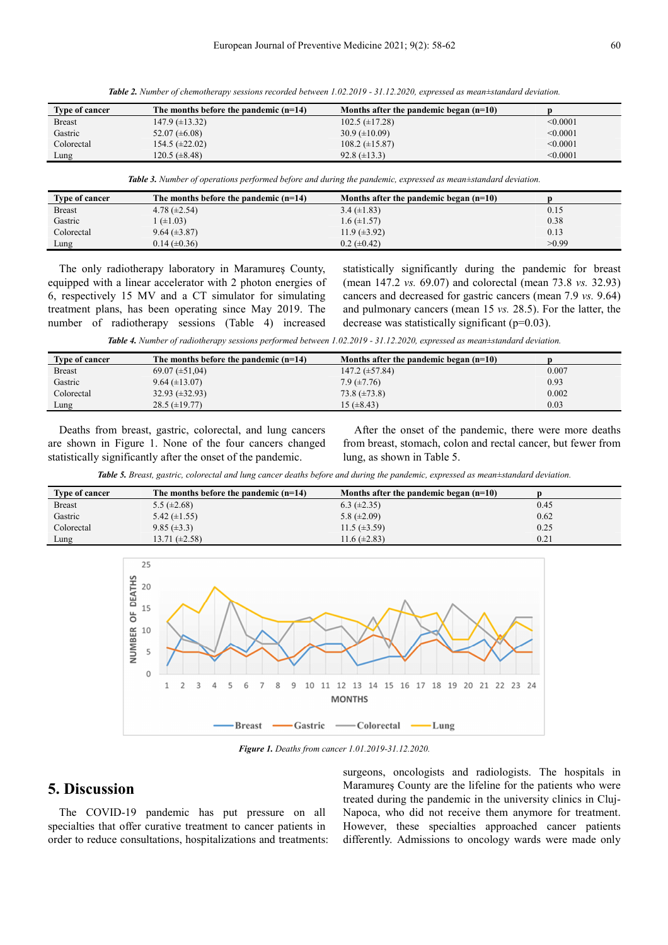| <b>Type of cancer</b> | The months before the pandemic $(n=14)$ | Months after the pandemic began $(n=10)$ |          |
|-----------------------|-----------------------------------------|------------------------------------------|----------|
| <b>Breast</b>         | $147.9 \ (\pm 13.32)$                   | $102.5 \ (\pm 17.28)$                    | < 0.0001 |
| Gastric               | $52.07 \ (\pm 6.08)$                    | $30.9 \ (\pm 10.09)$                     | < 0.0001 |
| Colorectal            | $154.5 \ (\pm 22.02)$                   | $108.2 \ (\pm 15.87)$                    | < 0.0001 |
| Lung                  | $120.5 \ (\pm 8.48)$                    | $92.8 \ (\pm 13.3)$                      | < 0.0001 |

*Table 2. Number of chemotherapy sessions recorded between 1.02.2019 - 31.12.2020, expressed as mean±standard deviation.* 

*Table 3. Number of operations performed before and during the pandemic, expressed as mean±standard deviation.* 

| <b>Type of cancer</b> | The months before the pandemic $(n=14)$ | Months after the pandemic began $(n=10)$ |       |
|-----------------------|-----------------------------------------|------------------------------------------|-------|
| <b>Breast</b>         | 4.78 $(\pm 2.54)$                       | $3.4 \ (\pm 1.83)$                       | 0.15  |
| Gastric               | $(\pm 1.03)$                            | $1.6 \ (\pm 1.57)$                       | 0.38  |
| Colorectal            | $9.64 \ (\pm 3.87)$                     | $11.9 \ (\pm 3.92)$                      | 0.13  |
| Lung                  | $0.14 \ (\pm 0.36)$                     | $0.2 \ (\pm 0.42)$                       | >0.99 |

The only radiotherapy laboratory in Maramureş County, equipped with a linear accelerator with 2 photon energies of 6, respectively 15 MV and a CT simulator for simulating treatment plans, has been operating since May 2019. The number of radiotherapy sessions (Table 4) increased

statistically significantly during the pandemic for breast (mean 147.2 *vs.* 69.07) and colorectal (mean 73.8 *vs.* 32.93) cancers and decreased for gastric cancers (mean 7.9 *vs.* 9.64) and pulmonary cancers (mean 15 *vs.* 28.5). For the latter, the decrease was statistically significant (p=0.03).

*Table 4. Number of radiotherapy sessions performed between 1.02.2019 - 31.12.2020, expressed as mean±standard deviation.* 

| Type of cancer | The months before the pandemic $(n=14)$ | Months after the pandemic began $(n=10)$ |       |
|----------------|-----------------------------------------|------------------------------------------|-------|
| <b>Breast</b>  | $69.07 \ (\pm 51.04)$                   | $147.2 \ (\pm 57.84)$                    | 0.007 |
| Gastric        | $9.64 (\pm 13.07)$                      | $7.9 \ (\pm 7.76)$                       | 0.93  |
| Colorectal     | $32.93 \ (\pm 32.93)$                   | $73.8 \ (\pm 73.8)$                      | 0.002 |
| Lung           | $28.5 \ (\pm 19.77)$                    | 15 $(\pm 8.43)$                          | 0.03  |

Deaths from breast, gastric, colorectal, and lung cancers are shown in Figure 1. None of the four cancers changed statistically significantly after the onset of the pandemic.

After the onset of the pandemic, there were more deaths from breast, stomach, colon and rectal cancer, but fewer from lung, as shown in Table 5.

*Table 5. Breast, gastric, colorectal and lung cancer deaths before and during the pandemic, expressed as mean±standard deviation.* 

| Type of cancer | The months before the pandemic $(n=14)$ | Months after the pandemic began $(n=10)$ |      |
|----------------|-----------------------------------------|------------------------------------------|------|
| <b>Breast</b>  | 5.5 $(\pm 2.68)$                        | $6.3 \ (\pm 2.35)$                       | 0.45 |
| Gastric        | 5.42 $(\pm 1.55)$                       | 5.8 $(\pm 2.09)$                         | 0.62 |
| Colorectal     | $9.85 \ (\pm 3.3)$                      | 11.5 $(\pm 3.59)$                        | 0.25 |
| Lung           | 13.71 $(\pm 2.58)$                      | 11.6 $(\pm 2.83)$                        | 0.21 |



*Figure 1. Deaths from cancer 1.01.2019-31.12.2020.* 

## **5. Discussion**

The COVID-19 pandemic has put pressure on all specialties that offer curative treatment to cancer patients in order to reduce consultations, hospitalizations and treatments: surgeons, oncologists and radiologists. The hospitals in Maramureş County are the lifeline for the patients who were treated during the pandemic in the university clinics in Cluj-Napoca, who did not receive them anymore for treatment. However, these specialties approached cancer patients differently. Admissions to oncology wards were made only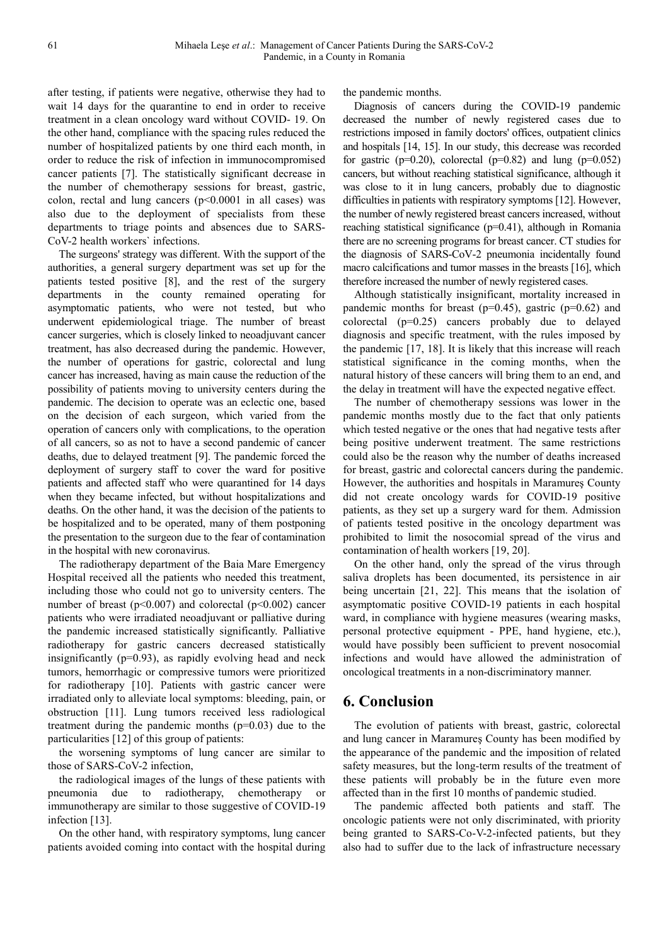after testing, if patients were negative, otherwise they had to wait 14 days for the quarantine to end in order to receive treatment in a clean oncology ward without COVID- 19. On the other hand, compliance with the spacing rules reduced the number of hospitalized patients by one third each month, in order to reduce the risk of infection in immunocompromised cancer patients [7]. The statistically significant decrease in the number of chemotherapy sessions for breast, gastric, colon, rectal and lung cancers  $(p<0.0001$  in all cases) was also due to the deployment of specialists from these departments to triage points and absences due to SARS-CoV-2 health workers` infections.

The surgeons' strategy was different. With the support of the authorities, a general surgery department was set up for the patients tested positive [8], and the rest of the surgery departments in the county remained operating for asymptomatic patients, who were not tested, but who underwent epidemiological triage. The number of breast cancer surgeries, which is closely linked to neoadjuvant cancer treatment, has also decreased during the pandemic. However, the number of operations for gastric, colorectal and lung cancer has increased, having as main cause the reduction of the possibility of patients moving to university centers during the pandemic. The decision to operate was an eclectic one, based on the decision of each surgeon, which varied from the operation of cancers only with complications, to the operation of all cancers, so as not to have a second pandemic of cancer deaths, due to delayed treatment [9]. The pandemic forced the deployment of surgery staff to cover the ward for positive patients and affected staff who were quarantined for 14 days when they became infected, but without hospitalizations and deaths. On the other hand, it was the decision of the patients to be hospitalized and to be operated, many of them postponing the presentation to the surgeon due to the fear of contamination in the hospital with new coronavirus.

The radiotherapy department of the Baia Mare Emergency Hospital received all the patients who needed this treatment, including those who could not go to university centers. The number of breast ( $p<0.007$ ) and colorectal ( $p<0.002$ ) cancer patients who were irradiated neoadjuvant or palliative during the pandemic increased statistically significantly. Palliative radiotherapy for gastric cancers decreased statistically insignificantly (p=0.93), as rapidly evolving head and neck tumors, hemorrhagic or compressive tumors were prioritized for radiotherapy [10]. Patients with gastric cancer were irradiated only to alleviate local symptoms: bleeding, pain, or obstruction [11]. Lung tumors received less radiological treatment during the pandemic months  $(p=0.03)$  due to the particularities [12] of this group of patients:

the worsening symptoms of lung cancer are similar to those of SARS-CoV-2 infection,

the radiological images of the lungs of these patients with pneumonia due to radiotherapy, chemotherapy or immunotherapy are similar to those suggestive of COVID-19 infection [13].

On the other hand, with respiratory symptoms, lung cancer patients avoided coming into contact with the hospital during the pandemic months.

Diagnosis of cancers during the COVID-19 pandemic decreased the number of newly registered cases due to restrictions imposed in family doctors' offices, outpatient clinics and hospitals [14, 15]. In our study, this decrease was recorded for gastric ( $p=0.20$ ), colorectal ( $p=0.82$ ) and lung ( $p=0.052$ ) cancers, but without reaching statistical significance, although it was close to it in lung cancers, probably due to diagnostic difficulties in patients with respiratory symptoms [12]. However, the number of newly registered breast cancers increased, without reaching statistical significance (p=0.41), although in Romania there are no screening programs for breast cancer. CT studies for the diagnosis of SARS-CoV-2 pneumonia incidentally found macro calcifications and tumor masses in the breasts [16], which therefore increased the number of newly registered cases.

Although statistically insignificant, mortality increased in pandemic months for breast ( $p=0.45$ ), gastric ( $p=0.62$ ) and colorectal (p=0.25) cancers probably due to delayed diagnosis and specific treatment, with the rules imposed by the pandemic [17, 18]. It is likely that this increase will reach statistical significance in the coming months, when the natural history of these cancers will bring them to an end, and the delay in treatment will have the expected negative effect.

The number of chemotherapy sessions was lower in the pandemic months mostly due to the fact that only patients which tested negative or the ones that had negative tests after being positive underwent treatment. The same restrictions could also be the reason why the number of deaths increased for breast, gastric and colorectal cancers during the pandemic. However, the authorities and hospitals in Maramureş County did not create oncology wards for COVID-19 positive patients, as they set up a surgery ward for them. Admission of patients tested positive in the oncology department was prohibited to limit the nosocomial spread of the virus and contamination of health workers [19, 20].

On the other hand, only the spread of the virus through saliva droplets has been documented, its persistence in air being uncertain [21, 22]. This means that the isolation of asymptomatic positive COVID-19 patients in each hospital ward, in compliance with hygiene measures (wearing masks, personal protective equipment - PPE, hand hygiene, etc.), would have possibly been sufficient to prevent nosocomial infections and would have allowed the administration of oncological treatments in a non-discriminatory manner.

# **6. Conclusion**

The evolution of patients with breast, gastric, colorectal and lung cancer in Maramureş County has been modified by the appearance of the pandemic and the imposition of related safety measures, but the long-term results of the treatment of these patients will probably be in the future even more affected than in the first 10 months of pandemic studied.

The pandemic affected both patients and staff. The oncologic patients were not only discriminated, with priority being granted to SARS-Co-V-2-infected patients, but they also had to suffer due to the lack of infrastructure necessary